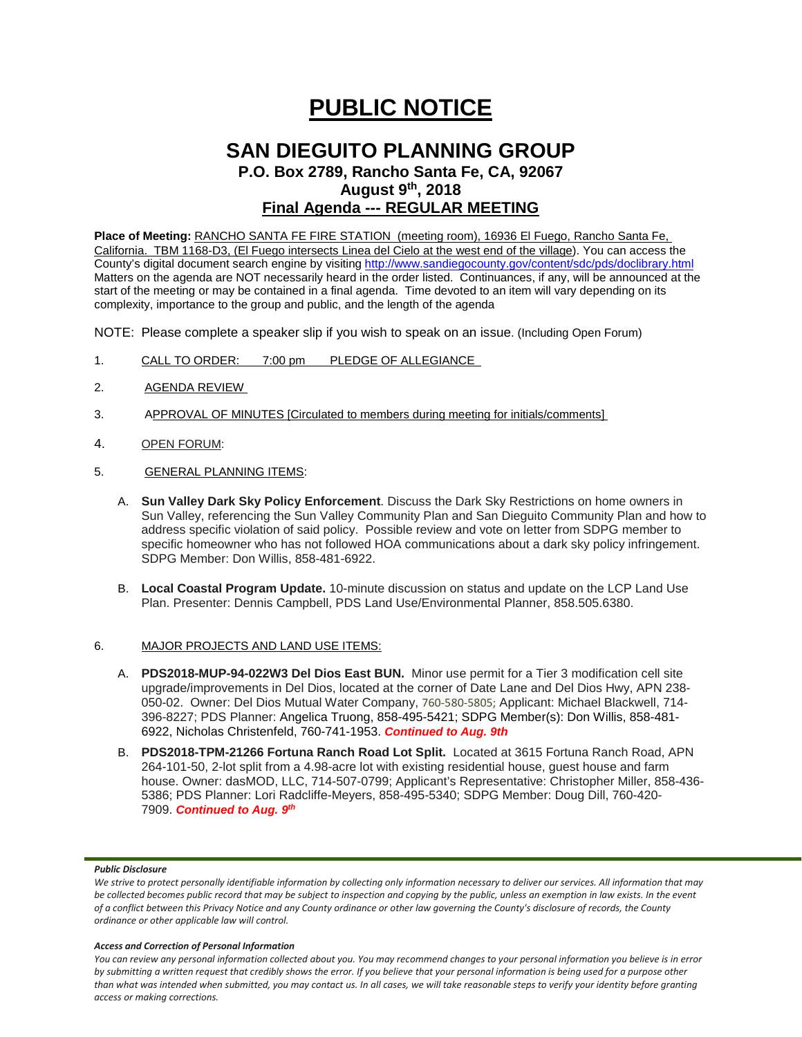# **PUBLIC NOTICE**

## **SAN DIEGUITO PLANNING GROUP P.O. Box 2789, Rancho Santa Fe, CA, 92067**

**August 9th, 2018**

### **Final Agenda --- REGULAR MEETING**

**Place of Meeting:** RANCHO SANTA FE FIRE STATION (meeting room), 16936 El Fuego, Rancho Santa Fe, California. TBM 1168-D3, (El Fuego intersects Linea del Cielo at the west end of the village). You can access the County's digital document search engine by visitin[g http://www.sandiegocounty.gov/content/sdc/pds/doclibrary.html](http://www.sandiegocounty.gov/content/sdc/pds/doclibrary.html) Matters on the agenda are NOT necessarily heard in the order listed. Continuances, if any, will be announced at the start of the meeting or may be contained in a final agenda. Time devoted to an item will vary depending on its complexity, importance to the group and public, and the length of the agenda

NOTE: Please complete a speaker slip if you wish to speak on an issue. (Including Open Forum)

- 1. CALL TO ORDER: 7:00 pm PLEDGE OF ALLEGIANCE
- 2. AGENDA REVIEW
- 3. APPROVAL OF MINUTES [Circulated to members during meeting for initials/comments]
- 4. OPEN FORUM:
- 5. GENERAL PLANNING ITEMS:
	- A. **Sun Valley Dark Sky Policy Enforcement**. Discuss the Dark Sky Restrictions on home owners in Sun Valley, referencing the Sun Valley Community Plan and San Dieguito Community Plan and how to address specific violation of said policy. Possible review and vote on letter from SDPG member to specific homeowner who has not followed HOA communications about a dark sky policy infringement. SDPG Member: Don Willis, 858-481-6922.
	- B. **Local Coastal Program Update.** 10-minute discussion on status and update on the LCP Land Use Plan. Presenter: Dennis Campbell, PDS Land Use/Environmental Planner, 858.505.6380.

#### 6. MAJOR PROJECTS AND LAND USE ITEMS:

- A. **PDS2018-MUP-94-022W3 Del Dios East BUN.** Minor use permit for a Tier 3 modification cell site upgrade/improvements in Del Dios, located at the corner of Date Lane and Del Dios Hwy, APN 238- 050-02. Owner: Del Dios Mutual Water Company, 760-580-5805; Applicant: Michael Blackwell, 714- 396-8227; PDS Planner: Angelica Truong, 858-495-5421; SDPG Member(s): Don Willis, 858-481- 6922, Nicholas Christenfeld, 760-741-1953. *Continued to Aug. 9th*
- B. **PDS2018-TPM-21266 Fortuna Ranch Road Lot Split.** Located at 3615 Fortuna Ranch Road, APN 264-101-50, 2-lot split from a 4.98-acre lot with existing residential house, guest house and farm house. Owner: dasMOD, LLC, 714-507-0799; Applicant's Representative: Christopher Miller, 858-436- 5386; PDS Planner: Lori Radcliffe-Meyers, 858-495-5340; SDPG Member: Doug Dill, 760-420- 7909. *Continued to Aug. 9th*

#### *Public Disclosure*

#### *Access and Correction of Personal Information*

*You can review any personal information collected about you. You may recommend changes to your personal information you believe is in error by submitting a written request that credibly shows the error. If you believe that your personal information is being used for a purpose other than what was intended when submitted, you may contact us. In all cases, we will take reasonable steps to verify your identity before granting access or making corrections.*

*We strive to protect personally identifiable information by collecting only information necessary to deliver our services. All information that may be collected becomes public record that may be subject to inspection and copying by the public, unless an exemption in law exists. In the event of a conflict between this Privacy Notice and any County ordinance or other law governing the County's disclosure of records, the County ordinance or other applicable law will control.*